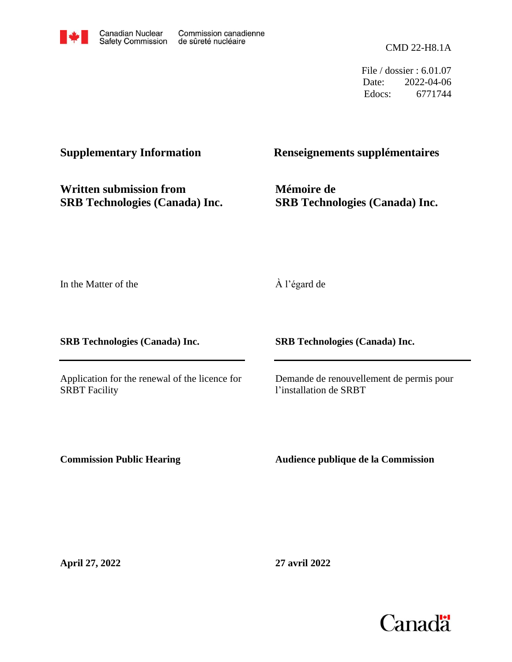

File / dossier : 6.01.07 Date: 2022-04-06 Edocs: 6771744

**Written submission from SRB Technologies (Canada) Inc.**

# **Supplementary Information Renseignements supplémentaires**

**Mémoire de SRB Technologies (Canada) Inc.**

In the Matter of the

**SRB Technologies (Canada) Inc.**

Application for the renewal of the licence for SRBT Facility

À l'égard de

**SRB Technologies (Canada) Inc.**

Demande de renouvellement de permis pour l'installation de SRBT

**Commission Public Hearing**

**Audience publique de la Commission**

**April 27, 2022**

**27 avril 2022**

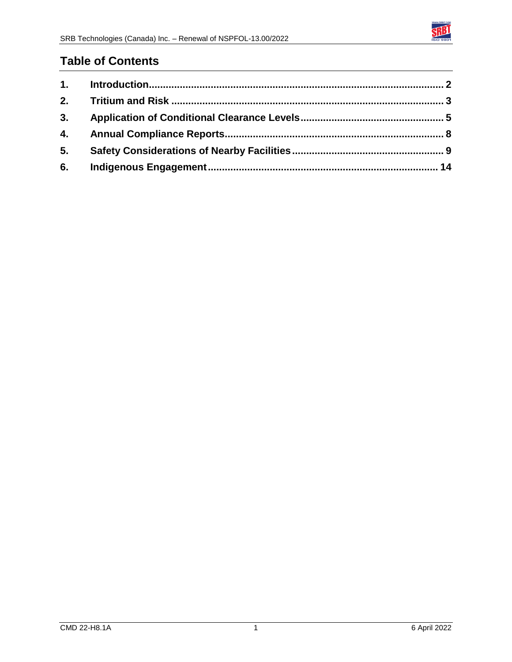

# **Table of Contents**

| 5. |  |
|----|--|
| 6. |  |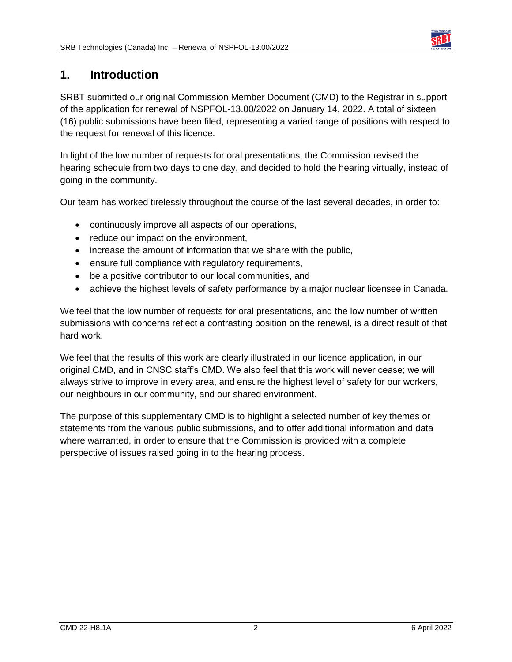

## <span id="page-2-0"></span>**1. Introduction**

SRBT submitted our original Commission Member Document (CMD) to the Registrar in support of the application for renewal of NSPFOL-13.00/2022 on January 14, 2022. A total of sixteen (16) public submissions have been filed, representing a varied range of positions with respect to the request for renewal of this licence.

In light of the low number of requests for oral presentations, the Commission revised the hearing schedule from two days to one day, and decided to hold the hearing virtually, instead of going in the community.

Our team has worked tirelessly throughout the course of the last several decades, in order to:

- continuously improve all aspects of our operations,
- reduce our impact on the environment,
- increase the amount of information that we share with the public,
- ensure full compliance with regulatory requirements,
- be a positive contributor to our local communities, and
- achieve the highest levels of safety performance by a major nuclear licensee in Canada.

We feel that the low number of requests for oral presentations, and the low number of written submissions with concerns reflect a contrasting position on the renewal, is a direct result of that hard work.

We feel that the results of this work are clearly illustrated in our licence application, in our original CMD, and in CNSC staff's CMD. We also feel that this work will never cease; we will always strive to improve in every area, and ensure the highest level of safety for our workers, our neighbours in our community, and our shared environment.

The purpose of this supplementary CMD is to highlight a selected number of key themes or statements from the various public submissions, and to offer additional information and data where warranted, in order to ensure that the Commission is provided with a complete perspective of issues raised going in to the hearing process.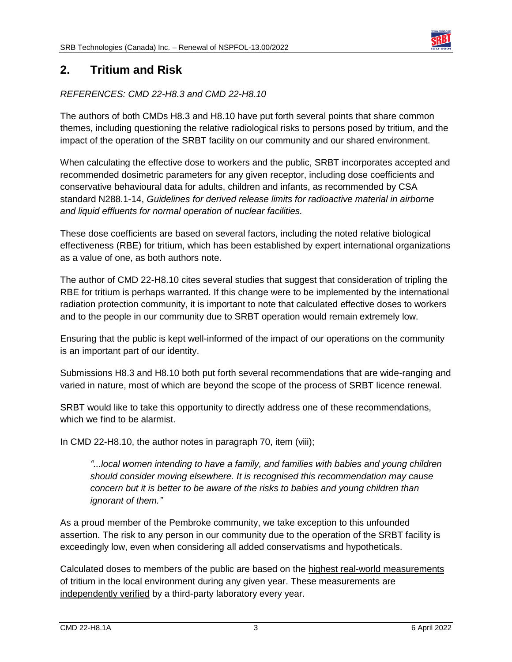

## <span id="page-3-0"></span>**2. Tritium and Risk**

#### *REFERENCES: CMD 22-H8.3 and CMD 22-H8.10*

The authors of both CMDs H8.3 and H8.10 have put forth several points that share common themes, including questioning the relative radiological risks to persons posed by tritium, and the impact of the operation of the SRBT facility on our community and our shared environment.

When calculating the effective dose to workers and the public, SRBT incorporates accepted and recommended dosimetric parameters for any given receptor, including dose coefficients and conservative behavioural data for adults, children and infants, as recommended by CSA standard N288.1-14, *Guidelines for derived release limits for radioactive material in airborne and liquid effluents for normal operation of nuclear facilities.*

These dose coefficients are based on several factors, including the noted relative biological effectiveness (RBE) for tritium, which has been established by expert international organizations as a value of one, as both authors note.

The author of CMD 22-H8.10 cites several studies that suggest that consideration of tripling the RBE for tritium is perhaps warranted. If this change were to be implemented by the international radiation protection community, it is important to note that calculated effective doses to workers and to the people in our community due to SRBT operation would remain extremely low.

Ensuring that the public is kept well-informed of the impact of our operations on the community is an important part of our identity.

Submissions H8.3 and H8.10 both put forth several recommendations that are wide-ranging and varied in nature, most of which are beyond the scope of the process of SRBT licence renewal.

SRBT would like to take this opportunity to directly address one of these recommendations, which we find to be alarmist.

In CMD 22-H8.10, the author notes in paragraph 70, item (viii);

*"...local women intending to have a family, and families with babies and young children should consider moving elsewhere. It is recognised this recommendation may cause concern but it is better to be aware of the risks to babies and young children than ignorant of them."*

As a proud member of the Pembroke community, we take exception to this unfounded assertion. The risk to any person in our community due to the operation of the SRBT facility is exceedingly low, even when considering all added conservatisms and hypotheticals.

Calculated doses to members of the public are based on the highest real-world measurements of tritium in the local environment during any given year. These measurements are independently verified by a third-party laboratory every year.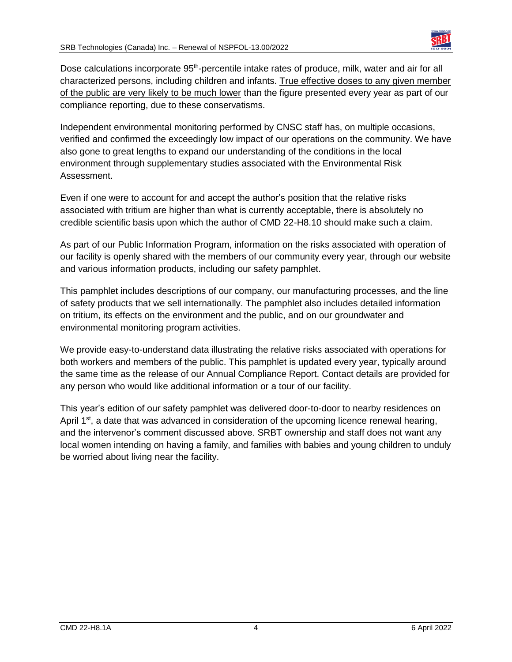

Dose calculations incorporate 95<sup>th</sup>-percentile intake rates of produce, milk, water and air for all characterized persons, including children and infants. True effective doses to any given member of the public are very likely to be much lower than the figure presented every year as part of our compliance reporting, due to these conservatisms.

Independent environmental monitoring performed by CNSC staff has, on multiple occasions, verified and confirmed the exceedingly low impact of our operations on the community. We have also gone to great lengths to expand our understanding of the conditions in the local environment through supplementary studies associated with the Environmental Risk Assessment.

Even if one were to account for and accept the author's position that the relative risks associated with tritium are higher than what is currently acceptable, there is absolutely no credible scientific basis upon which the author of CMD 22-H8.10 should make such a claim.

As part of our Public Information Program, information on the risks associated with operation of our facility is openly shared with the members of our community every year, through our website and various information products, including our safety pamphlet.

This pamphlet includes descriptions of our company, our manufacturing processes, and the line of safety products that we sell internationally. The pamphlet also includes detailed information on tritium, its effects on the environment and the public, and on our groundwater and environmental monitoring program activities.

We provide easy-to-understand data illustrating the relative risks associated with operations for both workers and members of the public. This pamphlet is updated every year, typically around the same time as the release of our Annual Compliance Report. Contact details are provided for any person who would like additional information or a tour of our facility.

This year's edition of our safety pamphlet was delivered door-to-door to nearby residences on April  $1<sup>st</sup>$ , a date that was advanced in consideration of the upcoming licence renewal hearing, and the intervenor's comment discussed above. SRBT ownership and staff does not want any local women intending on having a family, and families with babies and young children to unduly be worried about living near the facility.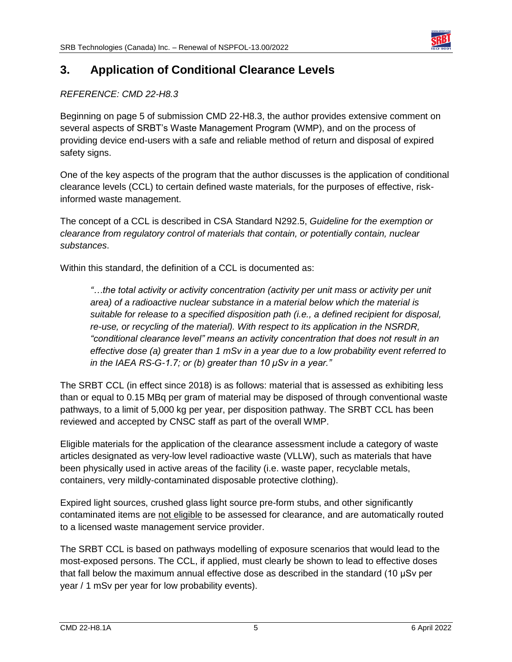

# <span id="page-5-0"></span>**3. Application of Conditional Clearance Levels**

## *REFERENCE: CMD 22-H8.3*

Beginning on page 5 of submission CMD 22-H8.3, the author provides extensive comment on several aspects of SRBT's Waste Management Program (WMP), and on the process of providing device end-users with a safe and reliable method of return and disposal of expired safety signs.

One of the key aspects of the program that the author discusses is the application of conditional clearance levels (CCL) to certain defined waste materials, for the purposes of effective, riskinformed waste management.

The concept of a CCL is described in CSA Standard N292.5, *Guideline for the exemption or clearance from regulatory control of materials that contain, or potentially contain, nuclear substances*.

Within this standard, the definition of a CCL is documented as:

*"…the total activity or activity concentration (activity per unit mass or activity per unit area) of a radioactive nuclear substance in a material below which the material is suitable for release to a specified disposition path (i.e., a defined recipient for disposal, re-use, or recycling of the material). With respect to its application in the NSRDR, "conditional clearance level" means an activity concentration that does not result in an effective dose (a) greater than 1 mSv in a year due to a low probability event referred to in the IAEA RS-G-1.7; or (b) greater than 10 μSv in a year."*

The SRBT CCL (in effect since 2018) is as follows: material that is assessed as exhibiting less than or equal to 0.15 MBq per gram of material may be disposed of through conventional waste pathways, to a limit of 5,000 kg per year, per disposition pathway. The SRBT CCL has been reviewed and accepted by CNSC staff as part of the overall WMP.

Eligible materials for the application of the clearance assessment include a category of waste articles designated as very-low level radioactive waste (VLLW), such as materials that have been physically used in active areas of the facility (i.e. waste paper, recyclable metals, containers, very mildly-contaminated disposable protective clothing).

Expired light sources, crushed glass light source pre-form stubs, and other significantly contaminated items are not eligible to be assessed for clearance, and are automatically routed to a licensed waste management service provider.

The SRBT CCL is based on pathways modelling of exposure scenarios that would lead to the most-exposed persons. The CCL, if applied, must clearly be shown to lead to effective doses that fall below the maximum annual effective dose as described in the standard (10 μSv per year / 1 mSv per year for low probability events).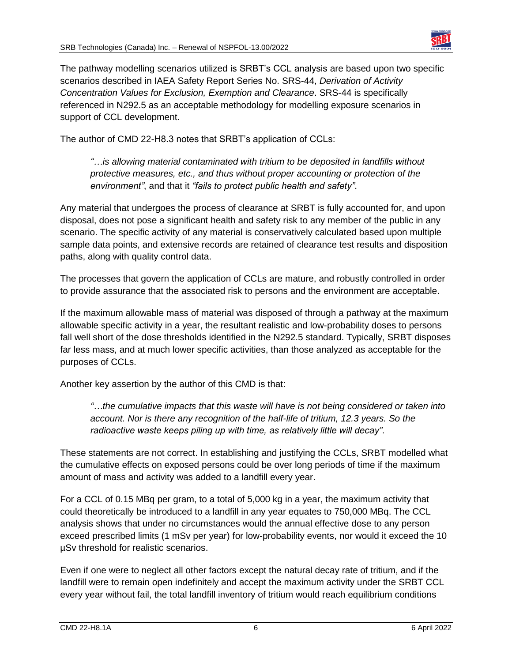

The pathway modelling scenarios utilized is SRBT's CCL analysis are based upon two specific scenarios described in IAEA Safety Report Series No. SRS-44, *Derivation of Activity Concentration Values for Exclusion, Exemption and Clearance*. SRS-44 is specifically referenced in N292.5 as an acceptable methodology for modelling exposure scenarios in support of CCL development.

The author of CMD 22-H8.3 notes that SRBT's application of CCLs:

*"…is allowing material contaminated with tritium to be deposited in landfills without protective measures, etc., and thus without proper accounting or protection of the environment"*, and that it *"fails to protect public health and safety"*.

Any material that undergoes the process of clearance at SRBT is fully accounted for, and upon disposal, does not pose a significant health and safety risk to any member of the public in any scenario. The specific activity of any material is conservatively calculated based upon multiple sample data points, and extensive records are retained of clearance test results and disposition paths, along with quality control data.

The processes that govern the application of CCLs are mature, and robustly controlled in order to provide assurance that the associated risk to persons and the environment are acceptable.

If the maximum allowable mass of material was disposed of through a pathway at the maximum allowable specific activity in a year, the resultant realistic and low-probability doses to persons fall well short of the dose thresholds identified in the N292.5 standard. Typically, SRBT disposes far less mass, and at much lower specific activities, than those analyzed as acceptable for the purposes of CCLs.

Another key assertion by the author of this CMD is that:

*"…the cumulative impacts that this waste will have is not being considered or taken into account. Nor is there any recognition of the half-life of tritium, 12.3 years. So the radioactive waste keeps piling up with time, as relatively little will decay"*.

These statements are not correct. In establishing and justifying the CCLs, SRBT modelled what the cumulative effects on exposed persons could be over long periods of time if the maximum amount of mass and activity was added to a landfill every year.

For a CCL of 0.15 MBq per gram, to a total of 5,000 kg in a year, the maximum activity that could theoretically be introduced to a landfill in any year equates to 750,000 MBq. The CCL analysis shows that under no circumstances would the annual effective dose to any person exceed prescribed limits (1 mSv per year) for low-probability events, nor would it exceed the 10 µSv threshold for realistic scenarios.

Even if one were to neglect all other factors except the natural decay rate of tritium, and if the landfill were to remain open indefinitely and accept the maximum activity under the SRBT CCL every year without fail, the total landfill inventory of tritium would reach equilibrium conditions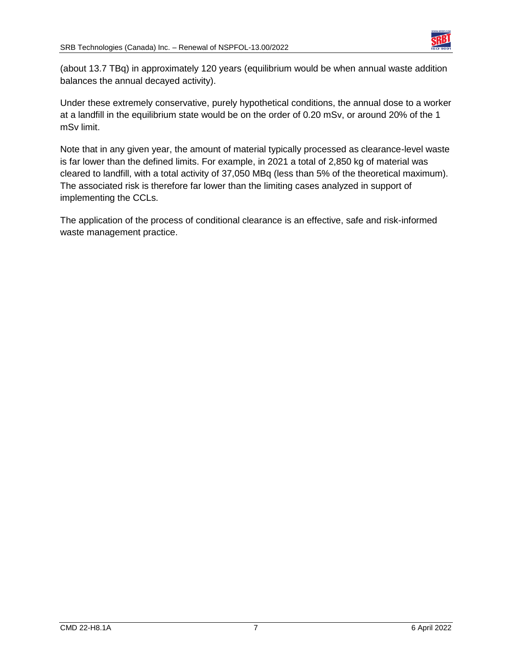

(about 13.7 TBq) in approximately 120 years (equilibrium would be when annual waste addition balances the annual decayed activity).

Under these extremely conservative, purely hypothetical conditions, the annual dose to a worker at a landfill in the equilibrium state would be on the order of 0.20 mSv, or around 20% of the 1 mSv limit.

Note that in any given year, the amount of material typically processed as clearance-level waste is far lower than the defined limits. For example, in 2021 a total of 2,850 kg of material was cleared to landfill, with a total activity of 37,050 MBq (less than 5% of the theoretical maximum). The associated risk is therefore far lower than the limiting cases analyzed in support of implementing the CCLs.

The application of the process of conditional clearance is an effective, safe and risk-informed waste management practice.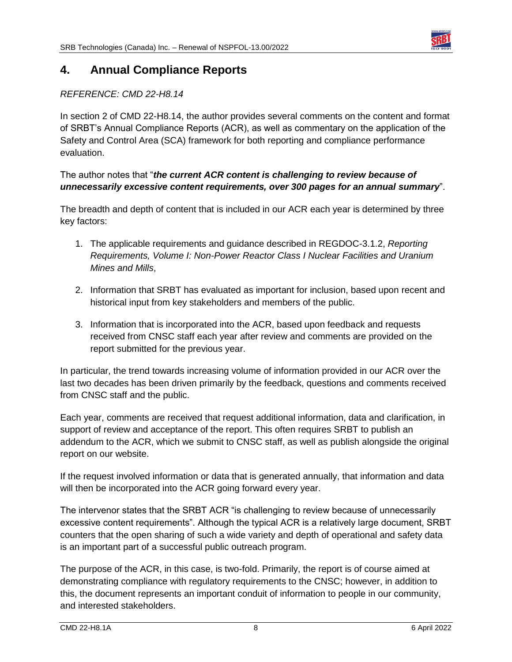

## <span id="page-8-0"></span>**4. Annual Compliance Reports**

## *REFERENCE: CMD 22-H8.14*

In section 2 of CMD 22-H8.14, the author provides several comments on the content and format of SRBT's Annual Compliance Reports (ACR), as well as commentary on the application of the Safety and Control Area (SCA) framework for both reporting and compliance performance evaluation.

### The author notes that "*the current ACR content is challenging to review because of unnecessarily excessive content requirements, over 300 pages for an annual summary*".

The breadth and depth of content that is included in our ACR each year is determined by three key factors:

- 1. The applicable requirements and guidance described in REGDOC-3.1.2, *Reporting Requirements, Volume I: Non-Power Reactor Class I Nuclear Facilities and Uranium Mines and Mills*,
- 2. Information that SRBT has evaluated as important for inclusion, based upon recent and historical input from key stakeholders and members of the public.
- 3. Information that is incorporated into the ACR, based upon feedback and requests received from CNSC staff each year after review and comments are provided on the report submitted for the previous year.

In particular, the trend towards increasing volume of information provided in our ACR over the last two decades has been driven primarily by the feedback, questions and comments received from CNSC staff and the public.

Each year, comments are received that request additional information, data and clarification, in support of review and acceptance of the report. This often requires SRBT to publish an addendum to the ACR, which we submit to CNSC staff, as well as publish alongside the original report on our website.

If the request involved information or data that is generated annually, that information and data will then be incorporated into the ACR going forward every year.

The intervenor states that the SRBT ACR "is challenging to review because of unnecessarily excessive content requirements". Although the typical ACR is a relatively large document, SRBT counters that the open sharing of such a wide variety and depth of operational and safety data is an important part of a successful public outreach program.

The purpose of the ACR, in this case, is two-fold. Primarily, the report is of course aimed at demonstrating compliance with regulatory requirements to the CNSC; however, in addition to this, the document represents an important conduit of information to people in our community, and interested stakeholders.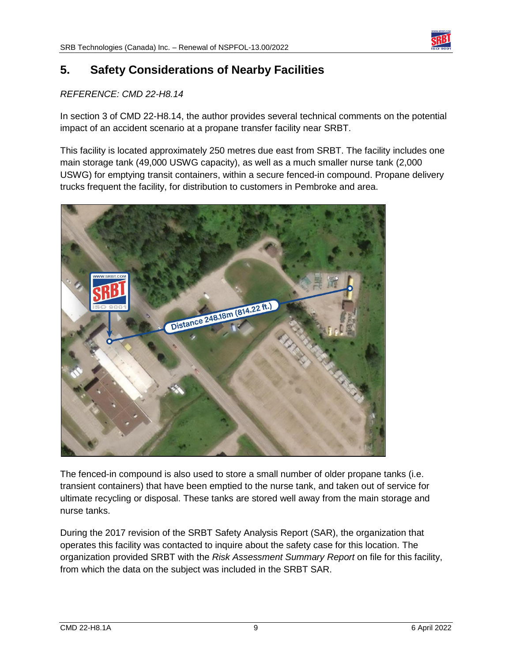

## <span id="page-9-0"></span>**5. Safety Considerations of Nearby Facilities**

#### *REFERENCE: CMD 22-H8.14*

In section 3 of CMD 22-H8.14, the author provides several technical comments on the potential impact of an accident scenario at a propane transfer facility near SRBT.

This facility is located approximately 250 metres due east from SRBT. The facility includes one main storage tank (49,000 USWG capacity), as well as a much smaller nurse tank (2,000 USWG) for emptying transit containers, within a secure fenced-in compound. Propane delivery trucks frequent the facility, for distribution to customers in Pembroke and area.



The fenced-in compound is also used to store a small number of older propane tanks (i.e. transient containers) that have been emptied to the nurse tank, and taken out of service for ultimate recycling or disposal. These tanks are stored well away from the main storage and nurse tanks.

During the 2017 revision of the SRBT Safety Analysis Report (SAR), the organization that operates this facility was contacted to inquire about the safety case for this location. The organization provided SRBT with the *Risk Assessment Summary Report* on file for this facility, from which the data on the subject was included in the SRBT SAR.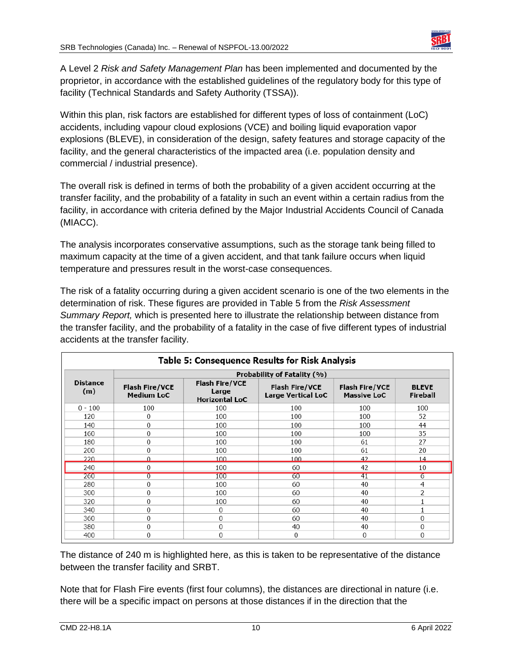

A Level 2 *Risk and Safety Management Plan* has been implemented and documented by the proprietor, in accordance with the established guidelines of the regulatory body for this type of facility (Technical Standards and Safety Authority (TSSA)).

Within this plan, risk factors are established for different types of loss of containment (LoC) accidents, including vapour cloud explosions (VCE) and boiling liquid evaporation vapor explosions (BLEVE), in consideration of the design, safety features and storage capacity of the facility, and the general characteristics of the impacted area (i.e. population density and commercial / industrial presence).

The overall risk is defined in terms of both the probability of a given accident occurring at the transfer facility, and the probability of a fatality in such an event within a certain radius from the facility, in accordance with criteria defined by the Major Industrial Accidents Council of Canada (MIACC).

The analysis incorporates conservative assumptions, such as the storage tank being filled to maximum capacity at the time of a given accident, and that tank failure occurs when liquid temperature and pressures result in the worst-case consequences.

The risk of a fatality occurring during a given accident scenario is one of the two elements in the determination of risk. These figures are provided in Table 5 from the *Risk Assessment Summary Report,* which is presented here to illustrate the relationship between distance from the transfer facility, and the probability of a fatality in the case of five different types of industrial accidents at the transfer facility.

| <b>Table 5: Consequence Results for Risk Analysis</b> |                                            |                                                         |                                             |                                             |                          |  |  |  |
|-------------------------------------------------------|--------------------------------------------|---------------------------------------------------------|---------------------------------------------|---------------------------------------------|--------------------------|--|--|--|
|                                                       | Probability of Fatality (%)                |                                                         |                                             |                                             |                          |  |  |  |
| <b>Distance</b><br>(m)                                | <b>Flash Fire/VCE</b><br><b>Medium LoC</b> | <b>Flash Fire/VCE</b><br>Large<br><b>Horizontal LoC</b> | <b>Flash Fire/VCE</b><br>Large Vertical LoC | <b>Flash Fire/VCE</b><br><b>Massive LoC</b> | <b>BLEVE</b><br>Fireball |  |  |  |
| $0 - 100$                                             | 100                                        | 100                                                     | 100                                         | 100                                         | 100                      |  |  |  |
| 120                                                   | 0                                          | 100                                                     | 100                                         | 100                                         | 52                       |  |  |  |
| 140                                                   | 0                                          | 100                                                     | 100                                         | 100                                         | 44                       |  |  |  |
| 160                                                   | $\Omega$                                   | 100                                                     | 100                                         | 100                                         | 35                       |  |  |  |
| 180                                                   | 0                                          | 100                                                     | 100                                         | 61                                          | 27                       |  |  |  |
| 200                                                   | $\Omega$                                   | 100                                                     | 100                                         | 61                                          | 20                       |  |  |  |
| 220                                                   | $\Omega$                                   | 100                                                     | 100                                         | 42                                          | 14                       |  |  |  |
| 240                                                   | 0                                          | 100                                                     | 60                                          | 42                                          | 10                       |  |  |  |
| 260                                                   | $\overline{0}$                             | 100                                                     | 60                                          | 41                                          | $\overline{6}$           |  |  |  |
| 280                                                   | 0                                          | 100                                                     | 60                                          | 40                                          | 4                        |  |  |  |
| 300                                                   | $\mathbf{0}$                               | 100                                                     | 60                                          | 40                                          | 2                        |  |  |  |
| 320                                                   | $\mathbf{0}$                               | 100                                                     | 60                                          | 40                                          |                          |  |  |  |
| 340                                                   | 0                                          | 0                                                       | 60                                          | 40                                          |                          |  |  |  |
| 360                                                   | $\bf{0}$                                   | $\overline{0}$                                          | 60                                          | 40                                          | 0                        |  |  |  |
| 380                                                   | $\theta$                                   | $\mathbf{0}$                                            | 40                                          | 40                                          | $\Omega$                 |  |  |  |
| 400                                                   | $\mathbf{0}$                               | $\mathbf{0}$                                            | $\Omega$                                    | 0                                           | $\Omega$                 |  |  |  |

The distance of 240 m is highlighted here, as this is taken to be representative of the distance between the transfer facility and SRBT.

Note that for Flash Fire events (first four columns), the distances are directional in nature (i.e. there will be a specific impact on persons at those distances if in the direction that the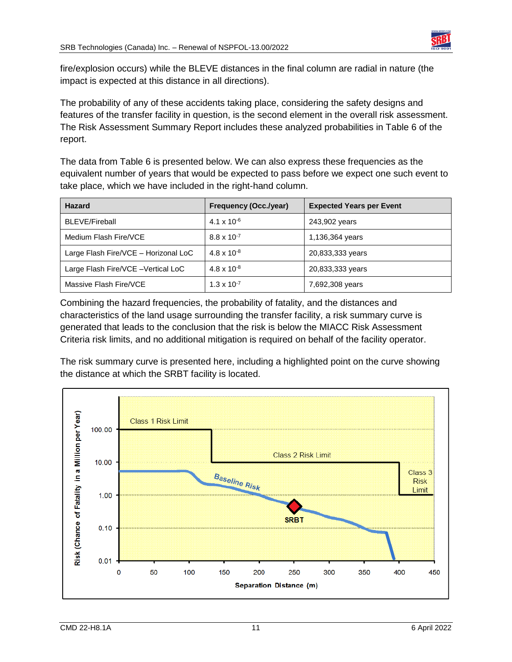

fire/explosion occurs) while the BLEVE distances in the final column are radial in nature (the impact is expected at this distance in all directions).

The probability of any of these accidents taking place, considering the safety designs and features of the transfer facility in question, is the second element in the overall risk assessment. The Risk Assessment Summary Report includes these analyzed probabilities in Table 6 of the report.

The data from Table 6 is presented below. We can also express these frequencies as the equivalent number of years that would be expected to pass before we expect one such event to take place, which we have included in the right-hand column.

| <b>Hazard</b>                        | <b>Frequency (Occ./year)</b> | <b>Expected Years per Event</b> |
|--------------------------------------|------------------------------|---------------------------------|
| <b>BLEVE/Fireball</b>                | $4.1 \times 10^{-6}$         | 243,902 years                   |
| Medium Flash Fire/VCE                | $8.8 \times 10^{-7}$         | 1,136,364 years                 |
| Large Flash Fire/VCE - Horizonal LoC | $4.8 \times 10^{-8}$         | 20,833,333 years                |
| Large Flash Fire/VCE -Vertical LoC   | $4.8 \times 10^{-8}$         | 20,833,333 years                |
| Massive Flash Fire/VCE               | $1.3 \times 10^{-7}$         | 7,692,308 years                 |

Combining the hazard frequencies, the probability of fatality, and the distances and characteristics of the land usage surrounding the transfer facility, a risk summary curve is generated that leads to the conclusion that the risk is below the MIACC Risk Assessment Criteria risk limits, and no additional mitigation is required on behalf of the facility operator.

The risk summary curve is presented here, including a highlighted point on the curve showing the distance at which the SRBT facility is located.

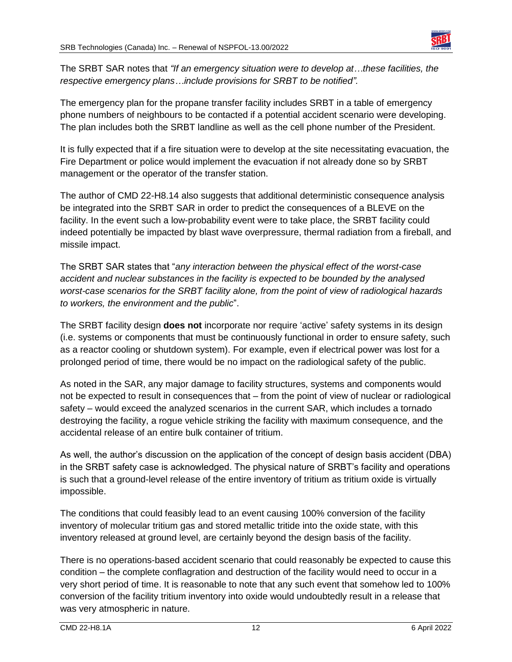

The SRBT SAR notes that *"If an emergency situation were to develop at…these facilities, the respective emergency plans…include provisions for SRBT to be notified".*

The emergency plan for the propane transfer facility includes SRBT in a table of emergency phone numbers of neighbours to be contacted if a potential accident scenario were developing. The plan includes both the SRBT landline as well as the cell phone number of the President.

It is fully expected that if a fire situation were to develop at the site necessitating evacuation, the Fire Department or police would implement the evacuation if not already done so by SRBT management or the operator of the transfer station.

The author of CMD 22-H8.14 also suggests that additional deterministic consequence analysis be integrated into the SRBT SAR in order to predict the consequences of a BLEVE on the facility. In the event such a low-probability event were to take place, the SRBT facility could indeed potentially be impacted by blast wave overpressure, thermal radiation from a fireball, and missile impact.

The SRBT SAR states that "*any interaction between the physical effect of the worst-case accident and nuclear substances in the facility is expected to be bounded by the analysed worst-case scenarios for the SRBT facility alone, from the point of view of radiological hazards to workers, the environment and the public*".

The SRBT facility design **does not** incorporate nor require 'active' safety systems in its design (i.e. systems or components that must be continuously functional in order to ensure safety, such as a reactor cooling or shutdown system). For example, even if electrical power was lost for a prolonged period of time, there would be no impact on the radiological safety of the public.

As noted in the SAR, any major damage to facility structures, systems and components would not be expected to result in consequences that – from the point of view of nuclear or radiological safety – would exceed the analyzed scenarios in the current SAR, which includes a tornado destroying the facility, a rogue vehicle striking the facility with maximum consequence, and the accidental release of an entire bulk container of tritium.

As well, the author's discussion on the application of the concept of design basis accident (DBA) in the SRBT safety case is acknowledged. The physical nature of SRBT's facility and operations is such that a ground-level release of the entire inventory of tritium as tritium oxide is virtually impossible.

The conditions that could feasibly lead to an event causing 100% conversion of the facility inventory of molecular tritium gas and stored metallic tritide into the oxide state, with this inventory released at ground level, are certainly beyond the design basis of the facility.

There is no operations-based accident scenario that could reasonably be expected to cause this condition – the complete conflagration and destruction of the facility would need to occur in a very short period of time. It is reasonable to note that any such event that somehow led to 100% conversion of the facility tritium inventory into oxide would undoubtedly result in a release that was very atmospheric in nature.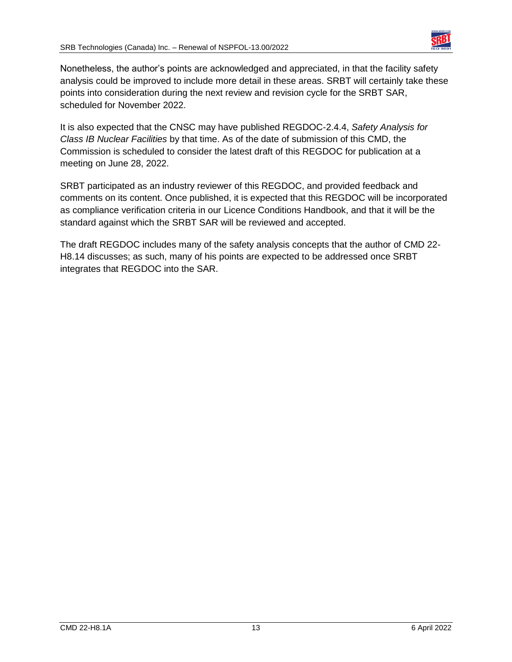

Nonetheless, the author's points are acknowledged and appreciated, in that the facility safety analysis could be improved to include more detail in these areas. SRBT will certainly take these points into consideration during the next review and revision cycle for the SRBT SAR, scheduled for November 2022.

It is also expected that the CNSC may have published REGDOC-2.4.4, *Safety Analysis for Class IB Nuclear Facilities* by that time. As of the date of submission of this CMD, the Commission is scheduled to consider the latest draft of this REGDOC for publication at a meeting on June 28, 2022.

SRBT participated as an industry reviewer of this REGDOC, and provided feedback and comments on its content. Once published, it is expected that this REGDOC will be incorporated as compliance verification criteria in our Licence Conditions Handbook, and that it will be the standard against which the SRBT SAR will be reviewed and accepted.

The draft REGDOC includes many of the safety analysis concepts that the author of CMD 22- H8.14 discusses; as such, many of his points are expected to be addressed once SRBT integrates that REGDOC into the SAR.